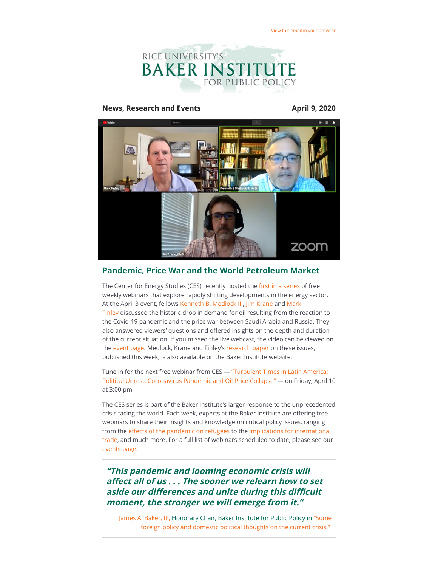

### **News, Research and Events April 9, 2020**



### **Pandemic, Price War and the World Petroleum Market**

The Center for Energy Studies (CES) recently hosted the fi[rst in a series](https://riceconnect.rice.edu/page.redir?target=https%3a%2f%2fwww.bakerinstitute.org%2fevents%2f2071%2f&srcid=130705&srctid=1&erid=baf5d0be-031c-4895-bac0-778069624400&trid=baf5d0be-031c-4895-bac0-778069624400) of free weekly webinars that explore rapidly shifting developments in the energy sector. [At the April 3 event, fellows K](https://riceconnect.rice.edu/page.redir?target=https%3a%2f%2fwww.bakerinstitute.org%2fexperts%2fmark-finley%2f&srcid=130705&srctid=1&erid=baf5d0be-031c-4895-bac0-778069624400&trid=baf5d0be-031c-4895-bac0-778069624400)[enneth B. Medlock III](https://riceconnect.rice.edu/page.redir?target=https%3a%2f%2fwww.bakerinstitute.org%2fexperts%2fkenneth-b-medlock-iii%2f&srcid=130705&srctid=1&erid=baf5d0be-031c-4895-bac0-778069624400&trid=baf5d0be-031c-4895-bac0-778069624400)[, J](https://riceconnect.rice.edu/page.redir?target=https%3a%2f%2fwww.bakerinstitute.org%2fexperts%2fmark-finley%2f&srcid=130705&srctid=1&erid=baf5d0be-031c-4895-bac0-778069624400&trid=baf5d0be-031c-4895-bac0-778069624400)[im Kran](https://riceconnect.rice.edu/page.redir?target=https%3a%2f%2fwww.bakerinstitute.org%2fexperts%2fjim-krane%2f&srcid=130705&srctid=1&erid=baf5d0be-031c-4895-bac0-778069624400&trid=baf5d0be-031c-4895-bac0-778069624400)[e and Mark](https://riceconnect.rice.edu/page.redir?target=https%3a%2f%2fwww.bakerinstitute.org%2fexperts%2fmark-finley%2f&srcid=130705&srctid=1&erid=baf5d0be-031c-4895-bac0-778069624400&trid=baf5d0be-031c-4895-bac0-778069624400) Finley discussed the historic drop in demand for oil resulting from the reaction to the Covid-19 pandemic and the price war between Saudi Arabia and Russia. They also answered viewers' questions and offered insights on the depth and duration of the current situation. If you missed the live webcast, the video can be viewed on the [event page](https://riceconnect.rice.edu/page.redir?target=https%3a%2f%2fwww.bakerinstitute.org%2fevents%2f2071%2f&srcid=130705&srctid=1&erid=baf5d0be-031c-4895-bac0-778069624400&trid=baf5d0be-031c-4895-bac0-778069624400). Medlock, Krane and Finley's [research paper](https://riceconnect.rice.edu/page.redir?target=https%3a%2f%2fwww.bakerinstitute.org%2fresearch%2fprice-war-and-pandemic-oil-market-reaction%2f&srcid=130705&srctid=1&erid=baf5d0be-031c-4895-bac0-778069624400&trid=baf5d0be-031c-4895-bac0-778069624400) on these issues, published this week, is also available on the Baker Institute website.

[Tune in for the next free webinar from CES — "Turbulent Times in Latin America:](https://riceconnect.rice.edu/page.redir?target=https%3a%2f%2fwww.bakerinstitute.org%2fevents%2f2074%2f&srcid=130705&srctid=1&erid=baf5d0be-031c-4895-bac0-778069624400&trid=baf5d0be-031c-4895-bac0-778069624400) Political Unrest, Coronavirus Pandemic and Oil Price Collapse" — on Friday, April 10 at 3:00 pm.

The CES series is part of the Baker Institute's larger response to the unprecedented crisis facing the world. Each week, experts at the Baker Institute are offering free webinars to share their insights and knowledge on critical policy issues, ranging from the effects of the pandemic on refugees to the implications for international [trade, and much more. For a full list of webinars scheduled to date, please see our](https://riceconnect.rice.edu/page.redir?target=https%3a%2f%2fwww.bakerinstitute.org%2fevents%2f2068%2f&srcid=130705&srctid=1&erid=baf5d0be-031c-4895-bac0-778069624400&trid=baf5d0be-031c-4895-bac0-778069624400) [events page.](https://riceconnect.rice.edu/page.redir?target=https%3a%2f%2fwww.bakerinstitute.org%2fevents%2fsearch%2f&srcid=130705&srctid=1&erid=baf5d0be-031c-4895-bac0-778069624400&trid=baf5d0be-031c-4895-bac0-778069624400)

**"This pandemic and looming economic crisis will** affect all of us . . . The sooner we relearn how to set aside our differences and unite during this difficult **moment, the stronger we will emerge from it."**

[James A. Baker, III,](https://riceconnect.rice.edu/page.redir?target=https%3a%2f%2fwww.bakerinstitute.org%2fexperts%2fjames-baker-iii%2f&srcid=130705&srctid=1&erid=baf5d0be-031c-4895-bac0-778069624400&trid=baf5d0be-031c-4895-bac0-778069624400) [Honorary Chair, Baker Institute for Public Policy in "Some](https://riceconnect.rice.edu/page.redir?target=https%3a%2f%2fwww.bakerinstitute.org%2fsome-foreign-policy-and-domestic-political-thoughts%2f&srcid=130705&srctid=1&erid=baf5d0be-031c-4895-bac0-778069624400&trid=baf5d0be-031c-4895-bac0-778069624400) foreign policy and domestic political thoughts on the current crisis."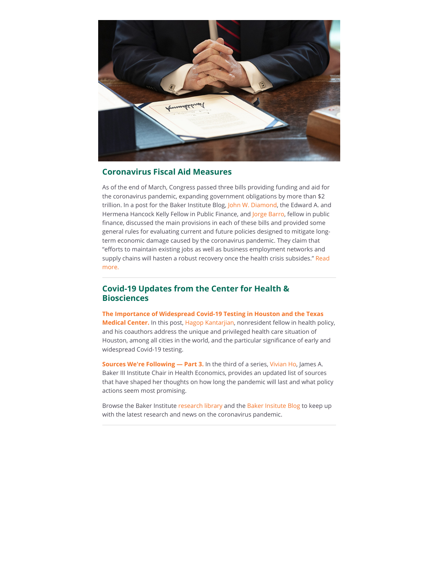

# **Coronavirus Fiscal Aid Measures**

As of the end of March, Congress passed three bills providing funding and aid for the coronavirus pandemic, expanding government obligations by more than \$2 trillion. In a post for the Baker Institute Blog, [John W. Diamond](https://riceconnect.rice.edu/page.redir?target=https%3a%2f%2fwww.bakerinstitute.org%2fexperts%2fjohn-w-diamond%2f&srcid=130705&srctid=1&erid=baf5d0be-031c-4895-bac0-778069624400&trid=baf5d0be-031c-4895-bac0-778069624400), the Edward A. and Hermena Hancock Kelly Fellow in Public Finance, and [Jorge Barro,](https://riceconnect.rice.edu/page.redir?target=https%3a%2f%2fwww.bakerinstitute.org%2fexperts%2fjorge-barro%2f&srcid=130705&srctid=1&erid=baf5d0be-031c-4895-bac0-778069624400&trid=baf5d0be-031c-4895-bac0-778069624400) fellow in public finance, discussed the main provisions in each of these bills and provided some general rules for evaluating current and future policies designed to mitigate longterm economic damage caused by the coronavirus pandemic. They claim that "efforts to maintain existing jobs as well as business employment networks and [supply chains will hasten a robust recovery once the health crisis subsides." Read](https://riceconnect.rice.edu/page.redir?target=http%3a%2f%2fblog.bakerinstitute.org%2f2020%2f03%2f31%2fcoronavirus-fiscal-aid-measures%2f&srcid=130705&srctid=1&erid=baf5d0be-031c-4895-bac0-778069624400&trid=baf5d0be-031c-4895-bac0-778069624400) more.

# **Covid-19 Updates from the Center for Health & Biosciences**

**[The Importance of Widespread Covid-19 Testing in Houston and the Texas](https://riceconnect.rice.edu/page.redir?target=http%3a%2f%2fblog.bakerinstitute.org%2f2020%2f04%2f07%2fthe-importance-of-widespread-covid-19-testing-in-houston-and-the-texas-medical-center%2f&srcid=130705&srctid=1&erid=baf5d0be-031c-4895-bac0-778069624400&trid=baf5d0be-031c-4895-bac0-778069624400) Medical Center.** In this post, [Hagop Kantarjian](https://riceconnect.rice.edu/page.redir?target=https%3a%2f%2fwww.bakerinstitute.org%2fexperts%2fhagop-m-kantarjian%2f&srcid=130705&srctid=1&erid=baf5d0be-031c-4895-bac0-778069624400&trid=baf5d0be-031c-4895-bac0-778069624400), nonresident fellow in health policy, and his coauthors address the unique and privileged health care situation of Houston, among all cities in the world, and the particular significance of early and widespread Covid-19 testing.

**[Sources We're Following — Part 3.](https://riceconnect.rice.edu/page.redir?target=http%3a%2f%2fblog.bakerinstitute.org%2f2020%2f04%2f06%2fsources-were-following-part-3%2f&srcid=130705&srctid=1&erid=baf5d0be-031c-4895-bac0-778069624400&trid=baf5d0be-031c-4895-bac0-778069624400)** In the third of a series[, Vivian Ho,](https://riceconnect.rice.edu/page.redir?target=https%3a%2f%2fwww.bakerinstitute.org%2fexperts%2fvivian-ho%2f&srcid=130705&srctid=1&erid=baf5d0be-031c-4895-bac0-778069624400&trid=baf5d0be-031c-4895-bac0-778069624400) James A. Baker III Institute Chair in Health Economics, provides an updated list of sources that have shaped her thoughts on how long the pandemic will last and what policy actions seem most promising.

Browse the Baker Institute [research library](https://riceconnect.rice.edu/page.redir?target=https%3a%2f%2fwww.bakerinstitute.org%2fresearch%2f&srcid=130705&srctid=1&erid=baf5d0be-031c-4895-bac0-778069624400&trid=baf5d0be-031c-4895-bac0-778069624400) and the [Baker Insitute Blog](https://riceconnect.rice.edu/page.redir?target=http%3a%2f%2fblog.bakerinstitute.org%2f&srcid=130705&srctid=1&erid=baf5d0be-031c-4895-bac0-778069624400&trid=baf5d0be-031c-4895-bac0-778069624400) to keep up with the latest research and news on the coronavirus pandemic.